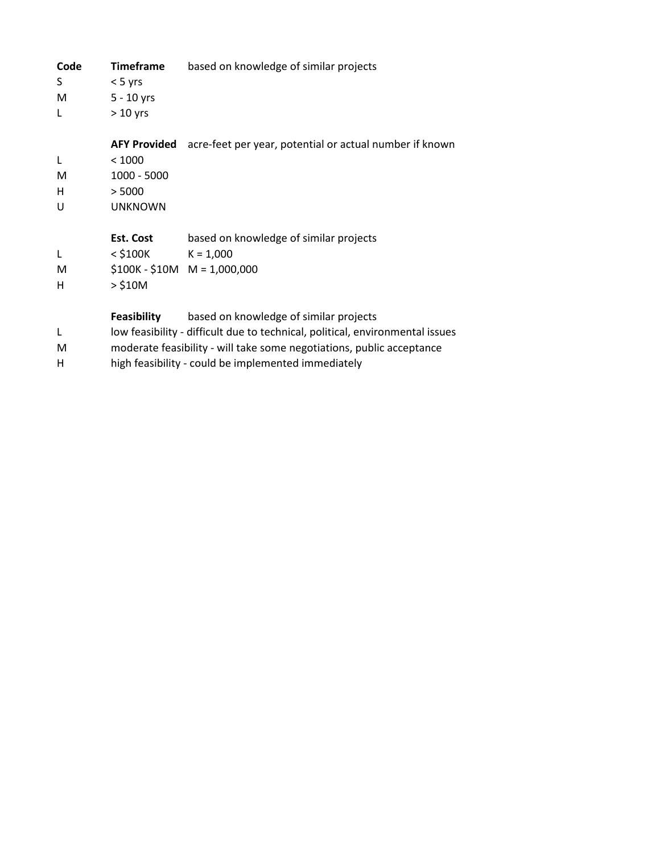| Code | <b>Timeframe</b>    | based on knowledge of similar projects                                        |
|------|---------------------|-------------------------------------------------------------------------------|
| S.   | $< 5$ yrs           |                                                                               |
| M    | $5 - 10$ yrs        |                                                                               |
| L    | $> 10$ yrs          |                                                                               |
|      | <b>AFY Provided</b> | acre-feet per year, potential or actual number if known                       |
| L    | < 1000              |                                                                               |
| M    | $1000 - 5000$       |                                                                               |
| н    | > 5000              |                                                                               |
| U    | <b>UNKNOWN</b>      |                                                                               |
|      | Est. Cost           | based on knowledge of similar projects                                        |
| L    | < \$100K            | $K = 1,000$                                                                   |
| М    |                     | $$100K - $10M$ M = 1,000,000                                                  |
| н    | $>$ \$10M           |                                                                               |
|      | <b>Feasibility</b>  | based on knowledge of similar projects                                        |
| L    |                     | low feasibility - difficult due to technical, political, environmental issues |
| М    |                     | moderate feasibility - will take some negotiations, public acceptance         |
| н    |                     | high feasibility - could be implemented immediately                           |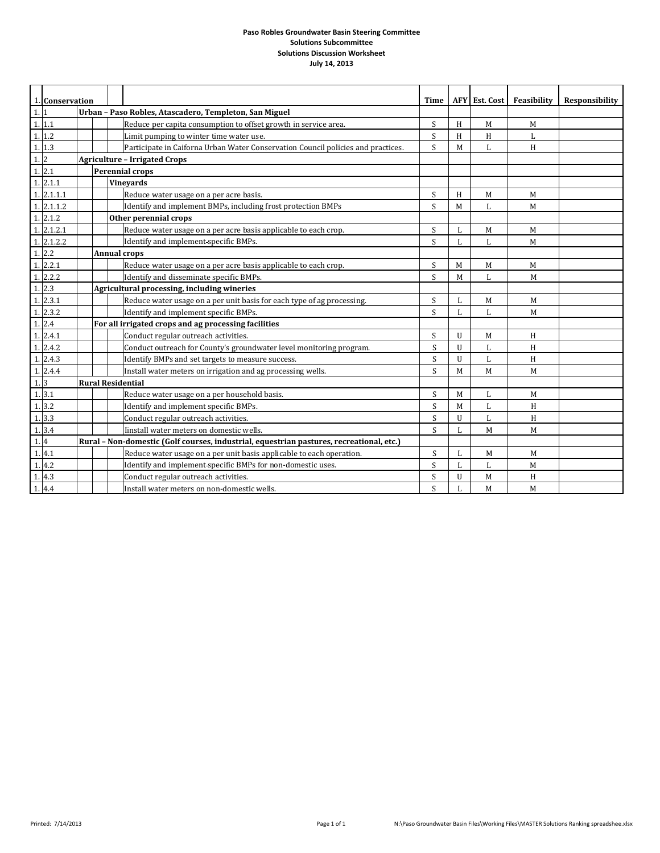|                  |                | 1. Conservation                                                                          |  |  |                                                                                  | Time        |   | AFY Est. Cost | Feasibility | <b>Responsibility</b> |
|------------------|----------------|------------------------------------------------------------------------------------------|--|--|----------------------------------------------------------------------------------|-------------|---|---------------|-------------|-----------------------|
| 1.1              |                | Urban - Paso Robles, Atascadero, Templeton, San Miguel                                   |  |  |                                                                                  |             |   |               |             |                       |
|                  | 1.11           |                                                                                          |  |  | Reduce per capita consumption to offset growth in service area.                  | S           | H | M             | M           |                       |
|                  | 1.1.2          |                                                                                          |  |  | Limit pumping to winter time water use.                                          | S           | H | H             | L           |                       |
|                  | 1.13           |                                                                                          |  |  | Participate in Caiforna Urban Water Conservation Council policies and practices. | S           | M | L             | H           |                       |
| 1.2              |                |                                                                                          |  |  | <b>Agriculture - Irrigated Crops</b>                                             |             |   |               |             |                       |
|                  | 1.2.1          |                                                                                          |  |  | <b>Perennial crops</b>                                                           |             |   |               |             |                       |
|                  | 1.2.1.1        |                                                                                          |  |  | <b>Vineyards</b>                                                                 |             |   |               |             |                       |
| 1.               | 2.1.1.1        |                                                                                          |  |  | Reduce water usage on a per acre basis.                                          | S           | H | M             | M           |                       |
|                  | 1.2.1.1.2      |                                                                                          |  |  | Identify and implement BMPs, including frost protection BMPs                     | S           | M | L             | M           |                       |
|                  | 1.2.1.2        |                                                                                          |  |  | Other perennial crops                                                            |             |   |               |             |                       |
|                  | 1.2.1.2.1      |                                                                                          |  |  | Reduce water usage on a per acre basis applicable to each crop.                  | S           | L | M             | M           |                       |
|                  | 1.2.1.2.2      |                                                                                          |  |  | Identify and implement-specific BMPs.                                            | S           | L | L             | M           |                       |
|                  | 1.2.2          |                                                                                          |  |  | <b>Annual crops</b>                                                              |             |   |               |             |                       |
|                  | 1.2.2.1        |                                                                                          |  |  | Reduce water usage on a per acre basis applicable to each crop.                  | S           | M | M             | M           |                       |
| 1.               | 2.2.2          |                                                                                          |  |  | Identify and disseminate specific BMPs.                                          | S           | M | L             | M           |                       |
|                  | 1.2.3          | Agricultural processing, including wineries                                              |  |  |                                                                                  |             |   |               |             |                       |
|                  | 1.2.3.1        |                                                                                          |  |  | Reduce water usage on a per unit basis for each type of ag processing.           | S           | L | M             | M           |                       |
|                  | 1.2.3.2        |                                                                                          |  |  | Identify and implement specific BMPs.                                            | S           | L | L             | M           |                       |
|                  | 1.2.4          |                                                                                          |  |  | For all irrigated crops and ag processing facilities                             |             |   |               |             |                       |
|                  | 1.2.4.1        |                                                                                          |  |  | Conduct regular outreach activities.                                             | S           | U | M             | H           |                       |
|                  | 1.2.4.2        |                                                                                          |  |  | Conduct outreach for County's groundwater level monitoring program.              | S           | U | L             | H           |                       |
|                  | 1.2.4.3        |                                                                                          |  |  | Identify BMPs and set targets to measure success.                                | S           | U | L             | H           |                       |
|                  | 1.2.4.4        |                                                                                          |  |  | Install water meters on irrigation and ag processing wells.                      | $\mathbf S$ | M | M             | M           |                       |
| 1.               | $\overline{3}$ |                                                                                          |  |  | <b>Rural Residential</b>                                                         |             |   |               |             |                       |
|                  | 1.3.1          |                                                                                          |  |  | Reduce water usage on a per household basis.                                     | S           | M | L             | M           |                       |
| $\mathbf{1}$     | 3.2            |                                                                                          |  |  | Identify and implement specific BMPs.                                            | S           | M | L             | H           |                       |
| $\overline{1}$ . | 3.3            |                                                                                          |  |  | Conduct regular outreach activities.                                             | S           | U | L             | H           |                       |
|                  | 1.3.4          |                                                                                          |  |  | Iinstall water meters on domestic wells.                                         | S           | L | M             | M           |                       |
| 1.4              |                | Rural - Non-domestic (Golf courses, industrial, equestrian pastures, recreational, etc.) |  |  |                                                                                  |             |   |               |             |                       |
|                  | 1.4.1          |                                                                                          |  |  | Reduce water usage on a per unit basis applicable to each operation.             | S           | L | M             | M           |                       |
| 1.               | 4.2            |                                                                                          |  |  | Identify and implement-specific BMPs for non-domestic uses.                      | S.          | L | L             | M           |                       |
| 1.               | 4.3            |                                                                                          |  |  | Conduct regular outreach activities.                                             | S           | U | M             | H           |                       |
|                  | 1.4.4          |                                                                                          |  |  | Install water meters on non-domestic wells.                                      | S           |   | M             | M           |                       |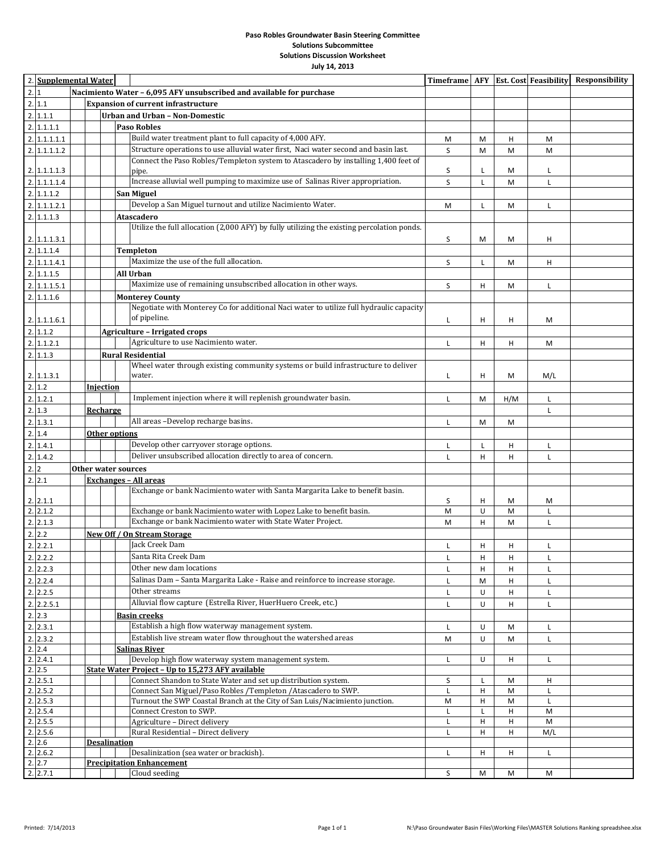| 2.11<br><b>Expansion of current infrastructure</b><br>2.1.1.1<br><b>Urban and Urban - Non-Domestic</b><br>2.1.1.1.1<br><b>Paso Robles</b><br>Build water treatment plant to full capacity of 4,000 AFY.<br>2.1.1.1.1.1<br>М<br>M<br>н<br>M<br>Structure operations to use alluvial water first, Naci water second and basin last.<br>2.1.1.1.1.2<br>S<br>M<br>M<br>M<br>Connect the Paso Robles/Templeton system to Atascadero by installing 1,400 feet of<br>S<br>2.   1.1.1.1.3<br>L<br>M<br>L<br>pipe.<br>Increase alluvial well pumping to maximize use of Salinas River appropriation.<br>S<br>2.1.1.1.1.4<br>L<br>M<br>Г<br>2.1.1.1.2<br><b>San Miguel</b><br>Develop a San Miguel turnout and utilize Nacimiento Water.<br>2.1.1.1.2.1<br>M<br>L<br>L<br>M<br>2.1.1.1.3<br>Atascadero<br>Utilize the full allocation (2,000 AFY) by fully utilizing the existing percolation ponds.<br>S<br>2.   1.1.1.3.1<br>M<br>н<br>M<br>2.1.1.1.4<br><b>Templeton</b><br>Maximize the use of the full allocation.<br>2.1.1.1.4.1<br>S<br>L<br>н<br>м<br>All Urban<br>2.1.1.1.5<br>Maximize use of remaining unsubscribed allocation in other ways.<br>S<br>2.1.1.1.5.1<br>н<br>M<br>Г<br>2.11.1.6<br><b>Monterey County</b><br>Negotiate with Monterey Co for additional Naci water to utilize full hydraulic capacity<br>of pipeline.<br>2.1.1.1.6.1<br>н<br>н<br>Г<br>M<br>2.1.1.2<br><b>Agriculture - Irrigated crops</b><br>Agriculture to use Nacimiento water.<br>2.1.1.2.1<br>н<br>L<br>н<br>M<br>2.1.1.3<br><b>Rural Residential</b><br>Wheel water through existing community systems or build infrastructure to deliver<br>2.1.1.3.1<br>н<br>M/L<br>water.<br>Г<br>M<br>2.1.2<br><b>Injection</b><br>Implement injection where it will replenish groundwater basin.<br>2.1.2.1<br>H/M<br>M<br>Г<br>Г<br>2.13<br>Recharge<br>Г<br>All areas -Develop recharge basins.<br>2.13.1<br>M<br>L<br>M<br>2.1.4<br>Other options<br>Develop other carryover storage options.<br>2.1.4.1<br>Г<br>н<br>L<br>Г<br>Deliver unsubscribed allocation directly to area of concern.<br>2.1.4.2<br>н<br>н<br>Г<br>Г<br>2.2<br>Other water sources<br>2.12.1<br><u> Exchanges – All areas</u><br>Exchange or bank Nacimiento water with Santa Margarita Lake to benefit basin.<br>2.2.1.1<br>S<br>н<br>M<br>M<br>Exchange or bank Nacimiento water with Lopez Lake to benefit basin.<br>2.   2.1.2<br>M<br>U<br>M<br>Г<br>Exchange or bank Nacimiento water with State Water Project.<br>2.2.1.3<br>н<br>м<br>M<br>Г<br>2.2.2<br>New Off / On Stream Storage<br>Jack Creek Dam<br>2.2.2.1<br>н<br>L<br>н<br>Г<br>Santa Rita Creek Dam<br>2.2.2.2<br>L<br>H<br>H<br>L.<br>2.2.3<br>Other new dam locations<br>L<br>н<br>н<br>Г<br>2.2.4<br>Salinas Dam - Santa Margarita Lake - Raise and reinforce to increase storage.<br>М<br>L<br>L<br>н<br>2.2.5<br>Other streams<br>U<br>н<br>L<br>L<br>Alluvial flow capture (Estrella River, HuerHuero Creek, etc.)<br>2.2.5.1<br>U<br>Г<br>н<br>Г<br>2.2.3<br><b>Basin creeks</b><br>Establish a high flow waterway management system.<br>2.2.3.1<br>U<br>L<br>М<br>Establish live stream water flow throughout the watershed areas<br>2.2.3.2<br>U<br>М<br>L<br>М<br>2.2.4<br><b>Salinas River</b><br>Develop high flow waterway system management system.<br>2.2.4.1<br>U<br>н<br>Г<br>L<br>2.2.5<br>State Water Project - Up to 15,273 AFY available<br>Connect Shandon to State Water and set up distribution system.<br>2.2.5.1<br>S<br>н<br>L<br>M<br>2.2.5.2<br>Connect San Miguel/Paso Robles /Templeton /Atascadero to SWP.<br>н<br>Г<br>M<br>L<br>2.2.5.3<br>Turnout the SWP Coastal Branch at the City of San Luis/Nacimiento junction.<br>н<br>М<br>M<br>L<br>2.2.5.4<br>Connect Creston to SWP.<br>Г<br>Н<br>M<br>L<br>2.2.5.5<br>Agriculture - Direct delivery<br>н<br>н<br>M<br>Г<br>Rural Residential - Direct delivery<br>2.2.5.6<br>н<br>н<br>M/L<br>L<br>2.2.6<br><b>Desalination</b><br>2.2.6.2<br>Desalinization (sea water or brackish).<br>Г<br>н<br>н<br>L<br>2.2.7<br><b>Precipitation Enhancement</b><br>2.2.7.1<br>S<br>Cloud seeding<br>М<br>M<br>М | 2. Supplemental Water                                                       |  |  |  |  | Timeframe   AFY |  |  | <b>Est. Cost Feasibility</b> | <b>Responsibility</b> |  |
|------------------------------------------------------------------------------------------------------------------------------------------------------------------------------------------------------------------------------------------------------------------------------------------------------------------------------------------------------------------------------------------------------------------------------------------------------------------------------------------------------------------------------------------------------------------------------------------------------------------------------------------------------------------------------------------------------------------------------------------------------------------------------------------------------------------------------------------------------------------------------------------------------------------------------------------------------------------------------------------------------------------------------------------------------------------------------------------------------------------------------------------------------------------------------------------------------------------------------------------------------------------------------------------------------------------------------------------------------------------------------------------------------------------------------------------------------------------------------------------------------------------------------------------------------------------------------------------------------------------------------------------------------------------------------------------------------------------------------------------------------------------------------------------------------------------------------------------------------------------------------------------------------------------------------------------------------------------------------------------------------------------------------------------------------------------------------------------------------------------------------------------------------------------------------------------------------------------------------------------------------------------------------------------------------------------------------------------------------------------------------------------------------------------------------------------------------------------------------------------------------------------------------------------------------------------------------------------------------------------------------------------------------------------------------------------------------------------------------------------------------------------------------------------------------------------------------------------------------------------------------------------------------------------------------------------------------------------------------------------------------------------------------------------------------------------------------------------------------------------------------------------------------------------------------------------------------------------------------------------------------------------------------------------------------------------------------------------------------------------------------------------------------------------------------------------------------------------------------------------------------------------------------------------------------------------------------------------------------------------------------------------------------------------------------------------------------------------------------------------------------------------------------------------------------------------------------------------------------------------------------------------------------------------------------------------------------------------------------------------------------------------------------------------------------------------------------------------------------------|-----------------------------------------------------------------------------|--|--|--|--|-----------------|--|--|------------------------------|-----------------------|--|
|                                                                                                                                                                                                                                                                                                                                                                                                                                                                                                                                                                                                                                                                                                                                                                                                                                                                                                                                                                                                                                                                                                                                                                                                                                                                                                                                                                                                                                                                                                                                                                                                                                                                                                                                                                                                                                                                                                                                                                                                                                                                                                                                                                                                                                                                                                                                                                                                                                                                                                                                                                                                                                                                                                                                                                                                                                                                                                                                                                                                                                                                                                                                                                                                                                                                                                                                                                                                                                                                                                                                                                                                                                                                                                                                                                                                                                                                                                                                                                                                                                                                                                            | 2.1<br>Nacimiento Water - 6,095 AFY unsubscribed and available for purchase |  |  |  |  |                 |  |  |                              |                       |  |
|                                                                                                                                                                                                                                                                                                                                                                                                                                                                                                                                                                                                                                                                                                                                                                                                                                                                                                                                                                                                                                                                                                                                                                                                                                                                                                                                                                                                                                                                                                                                                                                                                                                                                                                                                                                                                                                                                                                                                                                                                                                                                                                                                                                                                                                                                                                                                                                                                                                                                                                                                                                                                                                                                                                                                                                                                                                                                                                                                                                                                                                                                                                                                                                                                                                                                                                                                                                                                                                                                                                                                                                                                                                                                                                                                                                                                                                                                                                                                                                                                                                                                                            |                                                                             |  |  |  |  |                 |  |  |                              |                       |  |
|                                                                                                                                                                                                                                                                                                                                                                                                                                                                                                                                                                                                                                                                                                                                                                                                                                                                                                                                                                                                                                                                                                                                                                                                                                                                                                                                                                                                                                                                                                                                                                                                                                                                                                                                                                                                                                                                                                                                                                                                                                                                                                                                                                                                                                                                                                                                                                                                                                                                                                                                                                                                                                                                                                                                                                                                                                                                                                                                                                                                                                                                                                                                                                                                                                                                                                                                                                                                                                                                                                                                                                                                                                                                                                                                                                                                                                                                                                                                                                                                                                                                                                            |                                                                             |  |  |  |  |                 |  |  |                              |                       |  |
|                                                                                                                                                                                                                                                                                                                                                                                                                                                                                                                                                                                                                                                                                                                                                                                                                                                                                                                                                                                                                                                                                                                                                                                                                                                                                                                                                                                                                                                                                                                                                                                                                                                                                                                                                                                                                                                                                                                                                                                                                                                                                                                                                                                                                                                                                                                                                                                                                                                                                                                                                                                                                                                                                                                                                                                                                                                                                                                                                                                                                                                                                                                                                                                                                                                                                                                                                                                                                                                                                                                                                                                                                                                                                                                                                                                                                                                                                                                                                                                                                                                                                                            |                                                                             |  |  |  |  |                 |  |  |                              |                       |  |
|                                                                                                                                                                                                                                                                                                                                                                                                                                                                                                                                                                                                                                                                                                                                                                                                                                                                                                                                                                                                                                                                                                                                                                                                                                                                                                                                                                                                                                                                                                                                                                                                                                                                                                                                                                                                                                                                                                                                                                                                                                                                                                                                                                                                                                                                                                                                                                                                                                                                                                                                                                                                                                                                                                                                                                                                                                                                                                                                                                                                                                                                                                                                                                                                                                                                                                                                                                                                                                                                                                                                                                                                                                                                                                                                                                                                                                                                                                                                                                                                                                                                                                            |                                                                             |  |  |  |  |                 |  |  |                              |                       |  |
|                                                                                                                                                                                                                                                                                                                                                                                                                                                                                                                                                                                                                                                                                                                                                                                                                                                                                                                                                                                                                                                                                                                                                                                                                                                                                                                                                                                                                                                                                                                                                                                                                                                                                                                                                                                                                                                                                                                                                                                                                                                                                                                                                                                                                                                                                                                                                                                                                                                                                                                                                                                                                                                                                                                                                                                                                                                                                                                                                                                                                                                                                                                                                                                                                                                                                                                                                                                                                                                                                                                                                                                                                                                                                                                                                                                                                                                                                                                                                                                                                                                                                                            |                                                                             |  |  |  |  |                 |  |  |                              |                       |  |
|                                                                                                                                                                                                                                                                                                                                                                                                                                                                                                                                                                                                                                                                                                                                                                                                                                                                                                                                                                                                                                                                                                                                                                                                                                                                                                                                                                                                                                                                                                                                                                                                                                                                                                                                                                                                                                                                                                                                                                                                                                                                                                                                                                                                                                                                                                                                                                                                                                                                                                                                                                                                                                                                                                                                                                                                                                                                                                                                                                                                                                                                                                                                                                                                                                                                                                                                                                                                                                                                                                                                                                                                                                                                                                                                                                                                                                                                                                                                                                                                                                                                                                            |                                                                             |  |  |  |  |                 |  |  |                              |                       |  |
|                                                                                                                                                                                                                                                                                                                                                                                                                                                                                                                                                                                                                                                                                                                                                                                                                                                                                                                                                                                                                                                                                                                                                                                                                                                                                                                                                                                                                                                                                                                                                                                                                                                                                                                                                                                                                                                                                                                                                                                                                                                                                                                                                                                                                                                                                                                                                                                                                                                                                                                                                                                                                                                                                                                                                                                                                                                                                                                                                                                                                                                                                                                                                                                                                                                                                                                                                                                                                                                                                                                                                                                                                                                                                                                                                                                                                                                                                                                                                                                                                                                                                                            |                                                                             |  |  |  |  |                 |  |  |                              |                       |  |
|                                                                                                                                                                                                                                                                                                                                                                                                                                                                                                                                                                                                                                                                                                                                                                                                                                                                                                                                                                                                                                                                                                                                                                                                                                                                                                                                                                                                                                                                                                                                                                                                                                                                                                                                                                                                                                                                                                                                                                                                                                                                                                                                                                                                                                                                                                                                                                                                                                                                                                                                                                                                                                                                                                                                                                                                                                                                                                                                                                                                                                                                                                                                                                                                                                                                                                                                                                                                                                                                                                                                                                                                                                                                                                                                                                                                                                                                                                                                                                                                                                                                                                            |                                                                             |  |  |  |  |                 |  |  |                              |                       |  |
|                                                                                                                                                                                                                                                                                                                                                                                                                                                                                                                                                                                                                                                                                                                                                                                                                                                                                                                                                                                                                                                                                                                                                                                                                                                                                                                                                                                                                                                                                                                                                                                                                                                                                                                                                                                                                                                                                                                                                                                                                                                                                                                                                                                                                                                                                                                                                                                                                                                                                                                                                                                                                                                                                                                                                                                                                                                                                                                                                                                                                                                                                                                                                                                                                                                                                                                                                                                                                                                                                                                                                                                                                                                                                                                                                                                                                                                                                                                                                                                                                                                                                                            |                                                                             |  |  |  |  |                 |  |  |                              |                       |  |
|                                                                                                                                                                                                                                                                                                                                                                                                                                                                                                                                                                                                                                                                                                                                                                                                                                                                                                                                                                                                                                                                                                                                                                                                                                                                                                                                                                                                                                                                                                                                                                                                                                                                                                                                                                                                                                                                                                                                                                                                                                                                                                                                                                                                                                                                                                                                                                                                                                                                                                                                                                                                                                                                                                                                                                                                                                                                                                                                                                                                                                                                                                                                                                                                                                                                                                                                                                                                                                                                                                                                                                                                                                                                                                                                                                                                                                                                                                                                                                                                                                                                                                            |                                                                             |  |  |  |  |                 |  |  |                              |                       |  |
|                                                                                                                                                                                                                                                                                                                                                                                                                                                                                                                                                                                                                                                                                                                                                                                                                                                                                                                                                                                                                                                                                                                                                                                                                                                                                                                                                                                                                                                                                                                                                                                                                                                                                                                                                                                                                                                                                                                                                                                                                                                                                                                                                                                                                                                                                                                                                                                                                                                                                                                                                                                                                                                                                                                                                                                                                                                                                                                                                                                                                                                                                                                                                                                                                                                                                                                                                                                                                                                                                                                                                                                                                                                                                                                                                                                                                                                                                                                                                                                                                                                                                                            |                                                                             |  |  |  |  |                 |  |  |                              |                       |  |
|                                                                                                                                                                                                                                                                                                                                                                                                                                                                                                                                                                                                                                                                                                                                                                                                                                                                                                                                                                                                                                                                                                                                                                                                                                                                                                                                                                                                                                                                                                                                                                                                                                                                                                                                                                                                                                                                                                                                                                                                                                                                                                                                                                                                                                                                                                                                                                                                                                                                                                                                                                                                                                                                                                                                                                                                                                                                                                                                                                                                                                                                                                                                                                                                                                                                                                                                                                                                                                                                                                                                                                                                                                                                                                                                                                                                                                                                                                                                                                                                                                                                                                            |                                                                             |  |  |  |  |                 |  |  |                              |                       |  |
|                                                                                                                                                                                                                                                                                                                                                                                                                                                                                                                                                                                                                                                                                                                                                                                                                                                                                                                                                                                                                                                                                                                                                                                                                                                                                                                                                                                                                                                                                                                                                                                                                                                                                                                                                                                                                                                                                                                                                                                                                                                                                                                                                                                                                                                                                                                                                                                                                                                                                                                                                                                                                                                                                                                                                                                                                                                                                                                                                                                                                                                                                                                                                                                                                                                                                                                                                                                                                                                                                                                                                                                                                                                                                                                                                                                                                                                                                                                                                                                                                                                                                                            |                                                                             |  |  |  |  |                 |  |  |                              |                       |  |
|                                                                                                                                                                                                                                                                                                                                                                                                                                                                                                                                                                                                                                                                                                                                                                                                                                                                                                                                                                                                                                                                                                                                                                                                                                                                                                                                                                                                                                                                                                                                                                                                                                                                                                                                                                                                                                                                                                                                                                                                                                                                                                                                                                                                                                                                                                                                                                                                                                                                                                                                                                                                                                                                                                                                                                                                                                                                                                                                                                                                                                                                                                                                                                                                                                                                                                                                                                                                                                                                                                                                                                                                                                                                                                                                                                                                                                                                                                                                                                                                                                                                                                            |                                                                             |  |  |  |  |                 |  |  |                              |                       |  |
|                                                                                                                                                                                                                                                                                                                                                                                                                                                                                                                                                                                                                                                                                                                                                                                                                                                                                                                                                                                                                                                                                                                                                                                                                                                                                                                                                                                                                                                                                                                                                                                                                                                                                                                                                                                                                                                                                                                                                                                                                                                                                                                                                                                                                                                                                                                                                                                                                                                                                                                                                                                                                                                                                                                                                                                                                                                                                                                                                                                                                                                                                                                                                                                                                                                                                                                                                                                                                                                                                                                                                                                                                                                                                                                                                                                                                                                                                                                                                                                                                                                                                                            |                                                                             |  |  |  |  |                 |  |  |                              |                       |  |
|                                                                                                                                                                                                                                                                                                                                                                                                                                                                                                                                                                                                                                                                                                                                                                                                                                                                                                                                                                                                                                                                                                                                                                                                                                                                                                                                                                                                                                                                                                                                                                                                                                                                                                                                                                                                                                                                                                                                                                                                                                                                                                                                                                                                                                                                                                                                                                                                                                                                                                                                                                                                                                                                                                                                                                                                                                                                                                                                                                                                                                                                                                                                                                                                                                                                                                                                                                                                                                                                                                                                                                                                                                                                                                                                                                                                                                                                                                                                                                                                                                                                                                            |                                                                             |  |  |  |  |                 |  |  |                              |                       |  |
|                                                                                                                                                                                                                                                                                                                                                                                                                                                                                                                                                                                                                                                                                                                                                                                                                                                                                                                                                                                                                                                                                                                                                                                                                                                                                                                                                                                                                                                                                                                                                                                                                                                                                                                                                                                                                                                                                                                                                                                                                                                                                                                                                                                                                                                                                                                                                                                                                                                                                                                                                                                                                                                                                                                                                                                                                                                                                                                                                                                                                                                                                                                                                                                                                                                                                                                                                                                                                                                                                                                                                                                                                                                                                                                                                                                                                                                                                                                                                                                                                                                                                                            |                                                                             |  |  |  |  |                 |  |  |                              |                       |  |
|                                                                                                                                                                                                                                                                                                                                                                                                                                                                                                                                                                                                                                                                                                                                                                                                                                                                                                                                                                                                                                                                                                                                                                                                                                                                                                                                                                                                                                                                                                                                                                                                                                                                                                                                                                                                                                                                                                                                                                                                                                                                                                                                                                                                                                                                                                                                                                                                                                                                                                                                                                                                                                                                                                                                                                                                                                                                                                                                                                                                                                                                                                                                                                                                                                                                                                                                                                                                                                                                                                                                                                                                                                                                                                                                                                                                                                                                                                                                                                                                                                                                                                            |                                                                             |  |  |  |  |                 |  |  |                              |                       |  |
|                                                                                                                                                                                                                                                                                                                                                                                                                                                                                                                                                                                                                                                                                                                                                                                                                                                                                                                                                                                                                                                                                                                                                                                                                                                                                                                                                                                                                                                                                                                                                                                                                                                                                                                                                                                                                                                                                                                                                                                                                                                                                                                                                                                                                                                                                                                                                                                                                                                                                                                                                                                                                                                                                                                                                                                                                                                                                                                                                                                                                                                                                                                                                                                                                                                                                                                                                                                                                                                                                                                                                                                                                                                                                                                                                                                                                                                                                                                                                                                                                                                                                                            |                                                                             |  |  |  |  |                 |  |  |                              |                       |  |
|                                                                                                                                                                                                                                                                                                                                                                                                                                                                                                                                                                                                                                                                                                                                                                                                                                                                                                                                                                                                                                                                                                                                                                                                                                                                                                                                                                                                                                                                                                                                                                                                                                                                                                                                                                                                                                                                                                                                                                                                                                                                                                                                                                                                                                                                                                                                                                                                                                                                                                                                                                                                                                                                                                                                                                                                                                                                                                                                                                                                                                                                                                                                                                                                                                                                                                                                                                                                                                                                                                                                                                                                                                                                                                                                                                                                                                                                                                                                                                                                                                                                                                            |                                                                             |  |  |  |  |                 |  |  |                              |                       |  |
|                                                                                                                                                                                                                                                                                                                                                                                                                                                                                                                                                                                                                                                                                                                                                                                                                                                                                                                                                                                                                                                                                                                                                                                                                                                                                                                                                                                                                                                                                                                                                                                                                                                                                                                                                                                                                                                                                                                                                                                                                                                                                                                                                                                                                                                                                                                                                                                                                                                                                                                                                                                                                                                                                                                                                                                                                                                                                                                                                                                                                                                                                                                                                                                                                                                                                                                                                                                                                                                                                                                                                                                                                                                                                                                                                                                                                                                                                                                                                                                                                                                                                                            |                                                                             |  |  |  |  |                 |  |  |                              |                       |  |
|                                                                                                                                                                                                                                                                                                                                                                                                                                                                                                                                                                                                                                                                                                                                                                                                                                                                                                                                                                                                                                                                                                                                                                                                                                                                                                                                                                                                                                                                                                                                                                                                                                                                                                                                                                                                                                                                                                                                                                                                                                                                                                                                                                                                                                                                                                                                                                                                                                                                                                                                                                                                                                                                                                                                                                                                                                                                                                                                                                                                                                                                                                                                                                                                                                                                                                                                                                                                                                                                                                                                                                                                                                                                                                                                                                                                                                                                                                                                                                                                                                                                                                            |                                                                             |  |  |  |  |                 |  |  |                              |                       |  |
|                                                                                                                                                                                                                                                                                                                                                                                                                                                                                                                                                                                                                                                                                                                                                                                                                                                                                                                                                                                                                                                                                                                                                                                                                                                                                                                                                                                                                                                                                                                                                                                                                                                                                                                                                                                                                                                                                                                                                                                                                                                                                                                                                                                                                                                                                                                                                                                                                                                                                                                                                                                                                                                                                                                                                                                                                                                                                                                                                                                                                                                                                                                                                                                                                                                                                                                                                                                                                                                                                                                                                                                                                                                                                                                                                                                                                                                                                                                                                                                                                                                                                                            |                                                                             |  |  |  |  |                 |  |  |                              |                       |  |
|                                                                                                                                                                                                                                                                                                                                                                                                                                                                                                                                                                                                                                                                                                                                                                                                                                                                                                                                                                                                                                                                                                                                                                                                                                                                                                                                                                                                                                                                                                                                                                                                                                                                                                                                                                                                                                                                                                                                                                                                                                                                                                                                                                                                                                                                                                                                                                                                                                                                                                                                                                                                                                                                                                                                                                                                                                                                                                                                                                                                                                                                                                                                                                                                                                                                                                                                                                                                                                                                                                                                                                                                                                                                                                                                                                                                                                                                                                                                                                                                                                                                                                            |                                                                             |  |  |  |  |                 |  |  |                              |                       |  |
|                                                                                                                                                                                                                                                                                                                                                                                                                                                                                                                                                                                                                                                                                                                                                                                                                                                                                                                                                                                                                                                                                                                                                                                                                                                                                                                                                                                                                                                                                                                                                                                                                                                                                                                                                                                                                                                                                                                                                                                                                                                                                                                                                                                                                                                                                                                                                                                                                                                                                                                                                                                                                                                                                                                                                                                                                                                                                                                                                                                                                                                                                                                                                                                                                                                                                                                                                                                                                                                                                                                                                                                                                                                                                                                                                                                                                                                                                                                                                                                                                                                                                                            |                                                                             |  |  |  |  |                 |  |  |                              |                       |  |
|                                                                                                                                                                                                                                                                                                                                                                                                                                                                                                                                                                                                                                                                                                                                                                                                                                                                                                                                                                                                                                                                                                                                                                                                                                                                                                                                                                                                                                                                                                                                                                                                                                                                                                                                                                                                                                                                                                                                                                                                                                                                                                                                                                                                                                                                                                                                                                                                                                                                                                                                                                                                                                                                                                                                                                                                                                                                                                                                                                                                                                                                                                                                                                                                                                                                                                                                                                                                                                                                                                                                                                                                                                                                                                                                                                                                                                                                                                                                                                                                                                                                                                            |                                                                             |  |  |  |  |                 |  |  |                              |                       |  |
|                                                                                                                                                                                                                                                                                                                                                                                                                                                                                                                                                                                                                                                                                                                                                                                                                                                                                                                                                                                                                                                                                                                                                                                                                                                                                                                                                                                                                                                                                                                                                                                                                                                                                                                                                                                                                                                                                                                                                                                                                                                                                                                                                                                                                                                                                                                                                                                                                                                                                                                                                                                                                                                                                                                                                                                                                                                                                                                                                                                                                                                                                                                                                                                                                                                                                                                                                                                                                                                                                                                                                                                                                                                                                                                                                                                                                                                                                                                                                                                                                                                                                                            |                                                                             |  |  |  |  |                 |  |  |                              |                       |  |
|                                                                                                                                                                                                                                                                                                                                                                                                                                                                                                                                                                                                                                                                                                                                                                                                                                                                                                                                                                                                                                                                                                                                                                                                                                                                                                                                                                                                                                                                                                                                                                                                                                                                                                                                                                                                                                                                                                                                                                                                                                                                                                                                                                                                                                                                                                                                                                                                                                                                                                                                                                                                                                                                                                                                                                                                                                                                                                                                                                                                                                                                                                                                                                                                                                                                                                                                                                                                                                                                                                                                                                                                                                                                                                                                                                                                                                                                                                                                                                                                                                                                                                            |                                                                             |  |  |  |  |                 |  |  |                              |                       |  |
|                                                                                                                                                                                                                                                                                                                                                                                                                                                                                                                                                                                                                                                                                                                                                                                                                                                                                                                                                                                                                                                                                                                                                                                                                                                                                                                                                                                                                                                                                                                                                                                                                                                                                                                                                                                                                                                                                                                                                                                                                                                                                                                                                                                                                                                                                                                                                                                                                                                                                                                                                                                                                                                                                                                                                                                                                                                                                                                                                                                                                                                                                                                                                                                                                                                                                                                                                                                                                                                                                                                                                                                                                                                                                                                                                                                                                                                                                                                                                                                                                                                                                                            |                                                                             |  |  |  |  |                 |  |  |                              |                       |  |
|                                                                                                                                                                                                                                                                                                                                                                                                                                                                                                                                                                                                                                                                                                                                                                                                                                                                                                                                                                                                                                                                                                                                                                                                                                                                                                                                                                                                                                                                                                                                                                                                                                                                                                                                                                                                                                                                                                                                                                                                                                                                                                                                                                                                                                                                                                                                                                                                                                                                                                                                                                                                                                                                                                                                                                                                                                                                                                                                                                                                                                                                                                                                                                                                                                                                                                                                                                                                                                                                                                                                                                                                                                                                                                                                                                                                                                                                                                                                                                                                                                                                                                            |                                                                             |  |  |  |  |                 |  |  |                              |                       |  |
|                                                                                                                                                                                                                                                                                                                                                                                                                                                                                                                                                                                                                                                                                                                                                                                                                                                                                                                                                                                                                                                                                                                                                                                                                                                                                                                                                                                                                                                                                                                                                                                                                                                                                                                                                                                                                                                                                                                                                                                                                                                                                                                                                                                                                                                                                                                                                                                                                                                                                                                                                                                                                                                                                                                                                                                                                                                                                                                                                                                                                                                                                                                                                                                                                                                                                                                                                                                                                                                                                                                                                                                                                                                                                                                                                                                                                                                                                                                                                                                                                                                                                                            |                                                                             |  |  |  |  |                 |  |  |                              |                       |  |
|                                                                                                                                                                                                                                                                                                                                                                                                                                                                                                                                                                                                                                                                                                                                                                                                                                                                                                                                                                                                                                                                                                                                                                                                                                                                                                                                                                                                                                                                                                                                                                                                                                                                                                                                                                                                                                                                                                                                                                                                                                                                                                                                                                                                                                                                                                                                                                                                                                                                                                                                                                                                                                                                                                                                                                                                                                                                                                                                                                                                                                                                                                                                                                                                                                                                                                                                                                                                                                                                                                                                                                                                                                                                                                                                                                                                                                                                                                                                                                                                                                                                                                            |                                                                             |  |  |  |  |                 |  |  |                              |                       |  |
|                                                                                                                                                                                                                                                                                                                                                                                                                                                                                                                                                                                                                                                                                                                                                                                                                                                                                                                                                                                                                                                                                                                                                                                                                                                                                                                                                                                                                                                                                                                                                                                                                                                                                                                                                                                                                                                                                                                                                                                                                                                                                                                                                                                                                                                                                                                                                                                                                                                                                                                                                                                                                                                                                                                                                                                                                                                                                                                                                                                                                                                                                                                                                                                                                                                                                                                                                                                                                                                                                                                                                                                                                                                                                                                                                                                                                                                                                                                                                                                                                                                                                                            |                                                                             |  |  |  |  |                 |  |  |                              |                       |  |
|                                                                                                                                                                                                                                                                                                                                                                                                                                                                                                                                                                                                                                                                                                                                                                                                                                                                                                                                                                                                                                                                                                                                                                                                                                                                                                                                                                                                                                                                                                                                                                                                                                                                                                                                                                                                                                                                                                                                                                                                                                                                                                                                                                                                                                                                                                                                                                                                                                                                                                                                                                                                                                                                                                                                                                                                                                                                                                                                                                                                                                                                                                                                                                                                                                                                                                                                                                                                                                                                                                                                                                                                                                                                                                                                                                                                                                                                                                                                                                                                                                                                                                            |                                                                             |  |  |  |  |                 |  |  |                              |                       |  |
|                                                                                                                                                                                                                                                                                                                                                                                                                                                                                                                                                                                                                                                                                                                                                                                                                                                                                                                                                                                                                                                                                                                                                                                                                                                                                                                                                                                                                                                                                                                                                                                                                                                                                                                                                                                                                                                                                                                                                                                                                                                                                                                                                                                                                                                                                                                                                                                                                                                                                                                                                                                                                                                                                                                                                                                                                                                                                                                                                                                                                                                                                                                                                                                                                                                                                                                                                                                                                                                                                                                                                                                                                                                                                                                                                                                                                                                                                                                                                                                                                                                                                                            |                                                                             |  |  |  |  |                 |  |  |                              |                       |  |
|                                                                                                                                                                                                                                                                                                                                                                                                                                                                                                                                                                                                                                                                                                                                                                                                                                                                                                                                                                                                                                                                                                                                                                                                                                                                                                                                                                                                                                                                                                                                                                                                                                                                                                                                                                                                                                                                                                                                                                                                                                                                                                                                                                                                                                                                                                                                                                                                                                                                                                                                                                                                                                                                                                                                                                                                                                                                                                                                                                                                                                                                                                                                                                                                                                                                                                                                                                                                                                                                                                                                                                                                                                                                                                                                                                                                                                                                                                                                                                                                                                                                                                            |                                                                             |  |  |  |  |                 |  |  |                              |                       |  |
|                                                                                                                                                                                                                                                                                                                                                                                                                                                                                                                                                                                                                                                                                                                                                                                                                                                                                                                                                                                                                                                                                                                                                                                                                                                                                                                                                                                                                                                                                                                                                                                                                                                                                                                                                                                                                                                                                                                                                                                                                                                                                                                                                                                                                                                                                                                                                                                                                                                                                                                                                                                                                                                                                                                                                                                                                                                                                                                                                                                                                                                                                                                                                                                                                                                                                                                                                                                                                                                                                                                                                                                                                                                                                                                                                                                                                                                                                                                                                                                                                                                                                                            |                                                                             |  |  |  |  |                 |  |  |                              |                       |  |
|                                                                                                                                                                                                                                                                                                                                                                                                                                                                                                                                                                                                                                                                                                                                                                                                                                                                                                                                                                                                                                                                                                                                                                                                                                                                                                                                                                                                                                                                                                                                                                                                                                                                                                                                                                                                                                                                                                                                                                                                                                                                                                                                                                                                                                                                                                                                                                                                                                                                                                                                                                                                                                                                                                                                                                                                                                                                                                                                                                                                                                                                                                                                                                                                                                                                                                                                                                                                                                                                                                                                                                                                                                                                                                                                                                                                                                                                                                                                                                                                                                                                                                            |                                                                             |  |  |  |  |                 |  |  |                              |                       |  |
|                                                                                                                                                                                                                                                                                                                                                                                                                                                                                                                                                                                                                                                                                                                                                                                                                                                                                                                                                                                                                                                                                                                                                                                                                                                                                                                                                                                                                                                                                                                                                                                                                                                                                                                                                                                                                                                                                                                                                                                                                                                                                                                                                                                                                                                                                                                                                                                                                                                                                                                                                                                                                                                                                                                                                                                                                                                                                                                                                                                                                                                                                                                                                                                                                                                                                                                                                                                                                                                                                                                                                                                                                                                                                                                                                                                                                                                                                                                                                                                                                                                                                                            |                                                                             |  |  |  |  |                 |  |  |                              |                       |  |
|                                                                                                                                                                                                                                                                                                                                                                                                                                                                                                                                                                                                                                                                                                                                                                                                                                                                                                                                                                                                                                                                                                                                                                                                                                                                                                                                                                                                                                                                                                                                                                                                                                                                                                                                                                                                                                                                                                                                                                                                                                                                                                                                                                                                                                                                                                                                                                                                                                                                                                                                                                                                                                                                                                                                                                                                                                                                                                                                                                                                                                                                                                                                                                                                                                                                                                                                                                                                                                                                                                                                                                                                                                                                                                                                                                                                                                                                                                                                                                                                                                                                                                            |                                                                             |  |  |  |  |                 |  |  |                              |                       |  |
|                                                                                                                                                                                                                                                                                                                                                                                                                                                                                                                                                                                                                                                                                                                                                                                                                                                                                                                                                                                                                                                                                                                                                                                                                                                                                                                                                                                                                                                                                                                                                                                                                                                                                                                                                                                                                                                                                                                                                                                                                                                                                                                                                                                                                                                                                                                                                                                                                                                                                                                                                                                                                                                                                                                                                                                                                                                                                                                                                                                                                                                                                                                                                                                                                                                                                                                                                                                                                                                                                                                                                                                                                                                                                                                                                                                                                                                                                                                                                                                                                                                                                                            |                                                                             |  |  |  |  |                 |  |  |                              |                       |  |
|                                                                                                                                                                                                                                                                                                                                                                                                                                                                                                                                                                                                                                                                                                                                                                                                                                                                                                                                                                                                                                                                                                                                                                                                                                                                                                                                                                                                                                                                                                                                                                                                                                                                                                                                                                                                                                                                                                                                                                                                                                                                                                                                                                                                                                                                                                                                                                                                                                                                                                                                                                                                                                                                                                                                                                                                                                                                                                                                                                                                                                                                                                                                                                                                                                                                                                                                                                                                                                                                                                                                                                                                                                                                                                                                                                                                                                                                                                                                                                                                                                                                                                            |                                                                             |  |  |  |  |                 |  |  |                              |                       |  |
|                                                                                                                                                                                                                                                                                                                                                                                                                                                                                                                                                                                                                                                                                                                                                                                                                                                                                                                                                                                                                                                                                                                                                                                                                                                                                                                                                                                                                                                                                                                                                                                                                                                                                                                                                                                                                                                                                                                                                                                                                                                                                                                                                                                                                                                                                                                                                                                                                                                                                                                                                                                                                                                                                                                                                                                                                                                                                                                                                                                                                                                                                                                                                                                                                                                                                                                                                                                                                                                                                                                                                                                                                                                                                                                                                                                                                                                                                                                                                                                                                                                                                                            |                                                                             |  |  |  |  |                 |  |  |                              |                       |  |
|                                                                                                                                                                                                                                                                                                                                                                                                                                                                                                                                                                                                                                                                                                                                                                                                                                                                                                                                                                                                                                                                                                                                                                                                                                                                                                                                                                                                                                                                                                                                                                                                                                                                                                                                                                                                                                                                                                                                                                                                                                                                                                                                                                                                                                                                                                                                                                                                                                                                                                                                                                                                                                                                                                                                                                                                                                                                                                                                                                                                                                                                                                                                                                                                                                                                                                                                                                                                                                                                                                                                                                                                                                                                                                                                                                                                                                                                                                                                                                                                                                                                                                            |                                                                             |  |  |  |  |                 |  |  |                              |                       |  |
|                                                                                                                                                                                                                                                                                                                                                                                                                                                                                                                                                                                                                                                                                                                                                                                                                                                                                                                                                                                                                                                                                                                                                                                                                                                                                                                                                                                                                                                                                                                                                                                                                                                                                                                                                                                                                                                                                                                                                                                                                                                                                                                                                                                                                                                                                                                                                                                                                                                                                                                                                                                                                                                                                                                                                                                                                                                                                                                                                                                                                                                                                                                                                                                                                                                                                                                                                                                                                                                                                                                                                                                                                                                                                                                                                                                                                                                                                                                                                                                                                                                                                                            |                                                                             |  |  |  |  |                 |  |  |                              |                       |  |
|                                                                                                                                                                                                                                                                                                                                                                                                                                                                                                                                                                                                                                                                                                                                                                                                                                                                                                                                                                                                                                                                                                                                                                                                                                                                                                                                                                                                                                                                                                                                                                                                                                                                                                                                                                                                                                                                                                                                                                                                                                                                                                                                                                                                                                                                                                                                                                                                                                                                                                                                                                                                                                                                                                                                                                                                                                                                                                                                                                                                                                                                                                                                                                                                                                                                                                                                                                                                                                                                                                                                                                                                                                                                                                                                                                                                                                                                                                                                                                                                                                                                                                            |                                                                             |  |  |  |  |                 |  |  |                              |                       |  |
|                                                                                                                                                                                                                                                                                                                                                                                                                                                                                                                                                                                                                                                                                                                                                                                                                                                                                                                                                                                                                                                                                                                                                                                                                                                                                                                                                                                                                                                                                                                                                                                                                                                                                                                                                                                                                                                                                                                                                                                                                                                                                                                                                                                                                                                                                                                                                                                                                                                                                                                                                                                                                                                                                                                                                                                                                                                                                                                                                                                                                                                                                                                                                                                                                                                                                                                                                                                                                                                                                                                                                                                                                                                                                                                                                                                                                                                                                                                                                                                                                                                                                                            |                                                                             |  |  |  |  |                 |  |  |                              |                       |  |
|                                                                                                                                                                                                                                                                                                                                                                                                                                                                                                                                                                                                                                                                                                                                                                                                                                                                                                                                                                                                                                                                                                                                                                                                                                                                                                                                                                                                                                                                                                                                                                                                                                                                                                                                                                                                                                                                                                                                                                                                                                                                                                                                                                                                                                                                                                                                                                                                                                                                                                                                                                                                                                                                                                                                                                                                                                                                                                                                                                                                                                                                                                                                                                                                                                                                                                                                                                                                                                                                                                                                                                                                                                                                                                                                                                                                                                                                                                                                                                                                                                                                                                            |                                                                             |  |  |  |  |                 |  |  |                              |                       |  |
|                                                                                                                                                                                                                                                                                                                                                                                                                                                                                                                                                                                                                                                                                                                                                                                                                                                                                                                                                                                                                                                                                                                                                                                                                                                                                                                                                                                                                                                                                                                                                                                                                                                                                                                                                                                                                                                                                                                                                                                                                                                                                                                                                                                                                                                                                                                                                                                                                                                                                                                                                                                                                                                                                                                                                                                                                                                                                                                                                                                                                                                                                                                                                                                                                                                                                                                                                                                                                                                                                                                                                                                                                                                                                                                                                                                                                                                                                                                                                                                                                                                                                                            |                                                                             |  |  |  |  |                 |  |  |                              |                       |  |
|                                                                                                                                                                                                                                                                                                                                                                                                                                                                                                                                                                                                                                                                                                                                                                                                                                                                                                                                                                                                                                                                                                                                                                                                                                                                                                                                                                                                                                                                                                                                                                                                                                                                                                                                                                                                                                                                                                                                                                                                                                                                                                                                                                                                                                                                                                                                                                                                                                                                                                                                                                                                                                                                                                                                                                                                                                                                                                                                                                                                                                                                                                                                                                                                                                                                                                                                                                                                                                                                                                                                                                                                                                                                                                                                                                                                                                                                                                                                                                                                                                                                                                            |                                                                             |  |  |  |  |                 |  |  |                              |                       |  |
|                                                                                                                                                                                                                                                                                                                                                                                                                                                                                                                                                                                                                                                                                                                                                                                                                                                                                                                                                                                                                                                                                                                                                                                                                                                                                                                                                                                                                                                                                                                                                                                                                                                                                                                                                                                                                                                                                                                                                                                                                                                                                                                                                                                                                                                                                                                                                                                                                                                                                                                                                                                                                                                                                                                                                                                                                                                                                                                                                                                                                                                                                                                                                                                                                                                                                                                                                                                                                                                                                                                                                                                                                                                                                                                                                                                                                                                                                                                                                                                                                                                                                                            |                                                                             |  |  |  |  |                 |  |  |                              |                       |  |
|                                                                                                                                                                                                                                                                                                                                                                                                                                                                                                                                                                                                                                                                                                                                                                                                                                                                                                                                                                                                                                                                                                                                                                                                                                                                                                                                                                                                                                                                                                                                                                                                                                                                                                                                                                                                                                                                                                                                                                                                                                                                                                                                                                                                                                                                                                                                                                                                                                                                                                                                                                                                                                                                                                                                                                                                                                                                                                                                                                                                                                                                                                                                                                                                                                                                                                                                                                                                                                                                                                                                                                                                                                                                                                                                                                                                                                                                                                                                                                                                                                                                                                            |                                                                             |  |  |  |  |                 |  |  |                              |                       |  |
|                                                                                                                                                                                                                                                                                                                                                                                                                                                                                                                                                                                                                                                                                                                                                                                                                                                                                                                                                                                                                                                                                                                                                                                                                                                                                                                                                                                                                                                                                                                                                                                                                                                                                                                                                                                                                                                                                                                                                                                                                                                                                                                                                                                                                                                                                                                                                                                                                                                                                                                                                                                                                                                                                                                                                                                                                                                                                                                                                                                                                                                                                                                                                                                                                                                                                                                                                                                                                                                                                                                                                                                                                                                                                                                                                                                                                                                                                                                                                                                                                                                                                                            |                                                                             |  |  |  |  |                 |  |  |                              |                       |  |
|                                                                                                                                                                                                                                                                                                                                                                                                                                                                                                                                                                                                                                                                                                                                                                                                                                                                                                                                                                                                                                                                                                                                                                                                                                                                                                                                                                                                                                                                                                                                                                                                                                                                                                                                                                                                                                                                                                                                                                                                                                                                                                                                                                                                                                                                                                                                                                                                                                                                                                                                                                                                                                                                                                                                                                                                                                                                                                                                                                                                                                                                                                                                                                                                                                                                                                                                                                                                                                                                                                                                                                                                                                                                                                                                                                                                                                                                                                                                                                                                                                                                                                            |                                                                             |  |  |  |  |                 |  |  |                              |                       |  |
|                                                                                                                                                                                                                                                                                                                                                                                                                                                                                                                                                                                                                                                                                                                                                                                                                                                                                                                                                                                                                                                                                                                                                                                                                                                                                                                                                                                                                                                                                                                                                                                                                                                                                                                                                                                                                                                                                                                                                                                                                                                                                                                                                                                                                                                                                                                                                                                                                                                                                                                                                                                                                                                                                                                                                                                                                                                                                                                                                                                                                                                                                                                                                                                                                                                                                                                                                                                                                                                                                                                                                                                                                                                                                                                                                                                                                                                                                                                                                                                                                                                                                                            |                                                                             |  |  |  |  |                 |  |  |                              |                       |  |
|                                                                                                                                                                                                                                                                                                                                                                                                                                                                                                                                                                                                                                                                                                                                                                                                                                                                                                                                                                                                                                                                                                                                                                                                                                                                                                                                                                                                                                                                                                                                                                                                                                                                                                                                                                                                                                                                                                                                                                                                                                                                                                                                                                                                                                                                                                                                                                                                                                                                                                                                                                                                                                                                                                                                                                                                                                                                                                                                                                                                                                                                                                                                                                                                                                                                                                                                                                                                                                                                                                                                                                                                                                                                                                                                                                                                                                                                                                                                                                                                                                                                                                            |                                                                             |  |  |  |  |                 |  |  |                              |                       |  |
|                                                                                                                                                                                                                                                                                                                                                                                                                                                                                                                                                                                                                                                                                                                                                                                                                                                                                                                                                                                                                                                                                                                                                                                                                                                                                                                                                                                                                                                                                                                                                                                                                                                                                                                                                                                                                                                                                                                                                                                                                                                                                                                                                                                                                                                                                                                                                                                                                                                                                                                                                                                                                                                                                                                                                                                                                                                                                                                                                                                                                                                                                                                                                                                                                                                                                                                                                                                                                                                                                                                                                                                                                                                                                                                                                                                                                                                                                                                                                                                                                                                                                                            |                                                                             |  |  |  |  |                 |  |  |                              |                       |  |
|                                                                                                                                                                                                                                                                                                                                                                                                                                                                                                                                                                                                                                                                                                                                                                                                                                                                                                                                                                                                                                                                                                                                                                                                                                                                                                                                                                                                                                                                                                                                                                                                                                                                                                                                                                                                                                                                                                                                                                                                                                                                                                                                                                                                                                                                                                                                                                                                                                                                                                                                                                                                                                                                                                                                                                                                                                                                                                                                                                                                                                                                                                                                                                                                                                                                                                                                                                                                                                                                                                                                                                                                                                                                                                                                                                                                                                                                                                                                                                                                                                                                                                            |                                                                             |  |  |  |  |                 |  |  |                              |                       |  |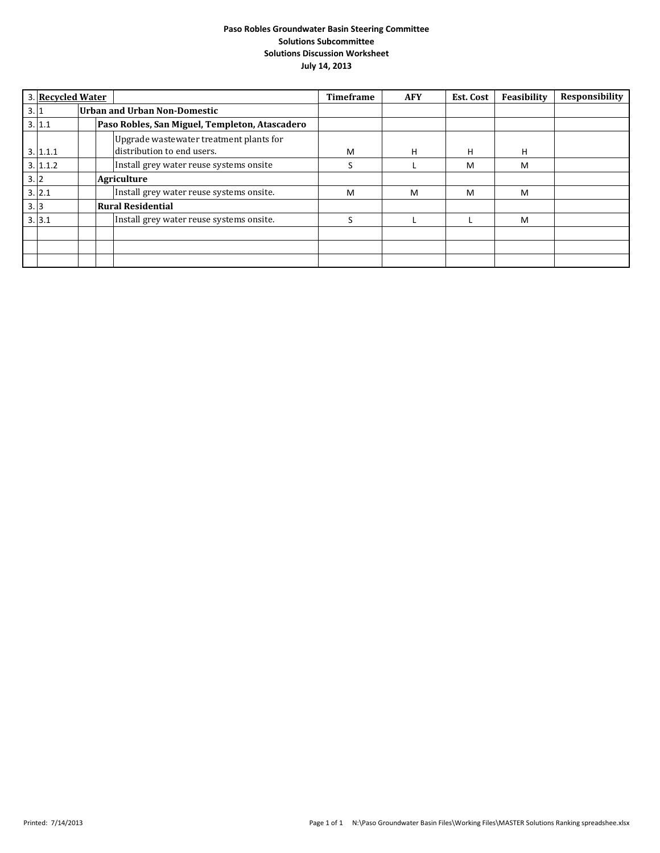|     | 3. Recycled Water |  |                                                                       | <b>Timeframe</b> | <b>AFY</b> | Est. Cost | Feasibility | Responsibility |
|-----|-------------------|--|-----------------------------------------------------------------------|------------------|------------|-----------|-------------|----------------|
| 3.1 |                   |  | <b>Urban and Urban Non-Domestic</b>                                   |                  |            |           |             |                |
|     | 3.11.1            |  | Paso Robles, San Miguel, Templeton, Atascadero                        |                  |            |           |             |                |
|     | 3.1.1.1           |  | Upgrade wastewater treatment plants for<br>distribution to end users. | M                | н          | н         | H           |                |
|     | 3.1.1.2           |  | Install grey water reuse systems onsite                               | S                |            | м         | M           |                |
| 3.2 |                   |  | <b>Agriculture</b>                                                    |                  |            |           |             |                |
|     | 3.2.1             |  | Install grey water reuse systems onsite.                              | M                | M          | M         | M           |                |
| 3.3 |                   |  | <b>Rural Residential</b>                                              |                  |            |           |             |                |
|     | 3.3.1             |  | Install grey water reuse systems onsite.                              |                  |            |           | M           |                |
|     |                   |  |                                                                       |                  |            |           |             |                |
|     |                   |  |                                                                       |                  |            |           |             |                |
|     |                   |  |                                                                       |                  |            |           |             |                |